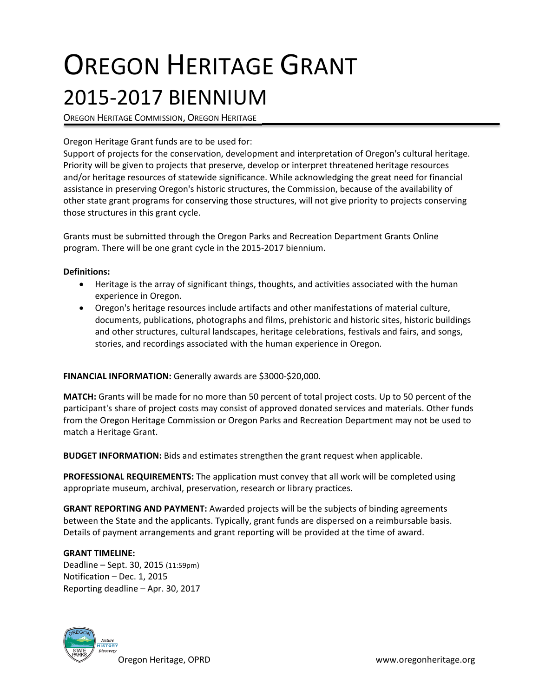# OREGON HERITAGE GRANT 2015‐2017 BIENNIUM

OREGON HERITAGE COMMISSION, OREGON HERITAGE

## Oregon Heritage Grant funds are to be used for:

Support of projects for the conservation, development and interpretation of Oregon's cultural heritage. Priority will be given to projects that preserve, develop or interpret threatened heritage resources and/or heritage resources of statewide significance. While acknowledging the great need for financial assistance in preserving Oregon's historic structures, the Commission, because of the availability of other state grant programs for conserving those structures, will not give priority to projects conserving those structures in this grant cycle.

Grants must be submitted through the Oregon Parks and Recreation Department Grants Online program. There will be one grant cycle in the 2015‐2017 biennium.

### **Definitions:**

- Heritage is the array of significant things, thoughts, and activities associated with the human experience in Oregon.
- Oregon's heritage resources include artifacts and other manifestations of material culture, documents, publications, photographs and films, prehistoric and historic sites, historic buildings and other structures, cultural landscapes, heritage celebrations, festivals and fairs, and songs, stories, and recordings associated with the human experience in Oregon.

#### **FINANCIAL INFORMATION:** Generally awards are \$3000‐\$20,000.

**MATCH:** Grants will be made for no more than 50 percent of total project costs. Up to 50 percent of the participant's share of project costs may consist of approved donated services and materials. Other funds from the Oregon Heritage Commission or Oregon Parks and Recreation Department may not be used to match a Heritage Grant.

**BUDGET INFORMATION:** Bids and estimates strengthen the grant request when applicable.

**PROFESSIONAL REQUIREMENTS:** The application must convey that all work will be completed using appropriate museum, archival, preservation, research or library practices.

**GRANT REPORTING AND PAYMENT:** Awarded projects will be the subjects of binding agreements between the State and the applicants. Typically, grant funds are dispersed on a reimbursable basis. Details of payment arrangements and grant reporting will be provided at the time of award.

#### **GRANT TIMELINE:**

Deadline – Sept. 30, 2015 (11:59pm) Notification – Dec. 1, 2015 Reporting deadline – Apr. 30, 2017

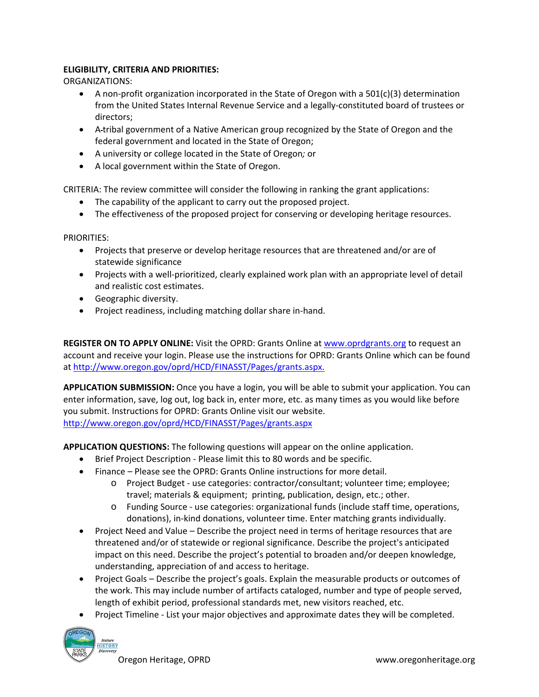# **ELIGIBILITY, CRITERIA AND PRIORITIES:**

ORGANIZATIONS:

- A non-profit organization incorporated in the State of Oregon with a  $501(c)(3)$  determination from the United States Internal Revenue Service and a legally‐constituted board of trustees or directors;
- A tribal government of a Native American group recognized by the State of Oregon and the federal government and located in the State of Oregon;
- A university or college located in the State of Oregon*;* or
- A local government within the State of Oregon.

CRITERIA: The review committee will consider the following in ranking the grant applications:

- The capability of the applicant to carry out the proposed project.
- The effectiveness of the proposed project for conserving or developing heritage resources.

PRIORITIES:

- Projects that preserve or develop heritage resources that are threatened and/or are of statewide significance
- Projects with a well-prioritized, clearly explained work plan with an appropriate level of detail and realistic cost estimates.
- Geographic diversity.
- Project readiness, including matching dollar share in-hand.

**REGISTER ON TO APPLY ONLINE:** Visit the OPRD: Grants Online at www.oprdgrants.org to request an account and receive your login. Please use the instructions for OPRD: Grants Online which can be found at http://www.oregon.gov/oprd/HCD/FINASST/Pages/grants.aspx.

**APPLICATION SUBMISSION:** Once you have a login, you will be able to submit your application. You can enter information, save, log out, log back in, enter more, etc. as many times as you would like before you submit. Instructions for OPRD: Grants Online visit our website. http://www.oregon.gov/oprd/HCD/FINASST/Pages/grants.aspx

**APPLICATION QUESTIONS:** The following questions will appear on the online application.

- Brief Project Description Please limit this to 80 words and be specific.
- Finance Please see the OPRD: Grants Online instructions for more detail.
	- o Project Budget ‐ use categories: contractor/consultant; volunteer time; employee; travel; materials & equipment; printing, publication, design, etc.; other.
	- o Funding Source ‐ use categories: organizational funds (include staff time, operations, donations), in‐kind donations, volunteer time. Enter matching grants individually.
- Project Need and Value Describe the project need in terms of heritage resources that are threatened and/or of statewide or regional significance. Describe the project's anticipated impact on this need. Describe the project's potential to broaden and/or deepen knowledge, understanding, appreciation of and access to heritage.
- Project Goals Describe the project's goals. Explain the measurable products or outcomes of the work. This may include number of artifacts cataloged, number and type of people served, length of exhibit period, professional standards met, new visitors reached, etc.
- Project Timeline ‐ List your major objectives and approximate dates they will be completed.